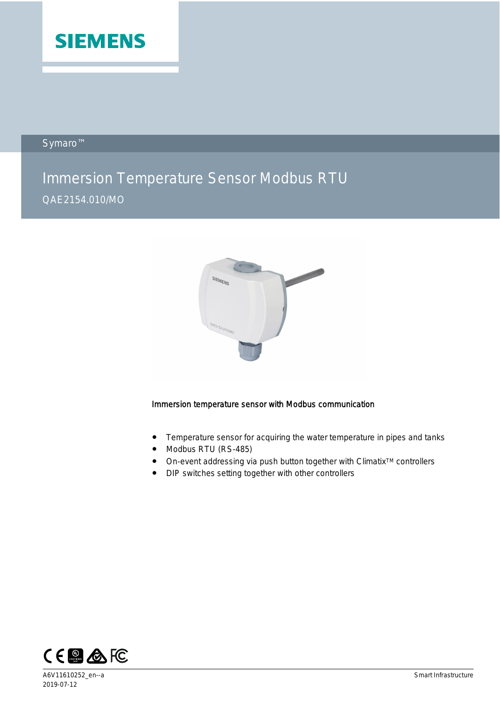

Symaro™

# Immersion Temperature Sensor Modbus RTU QAE2154.010/MO



## Immersion temperature sensor with Modbus communication

- Temperature sensor for acquiring the water temperature in pipes and tanks
- Modbus RTU (RS-485)
- On-event addressing via push button together with Climatix<sup>™</sup> controllers
- DIP switches setting together with other controllers

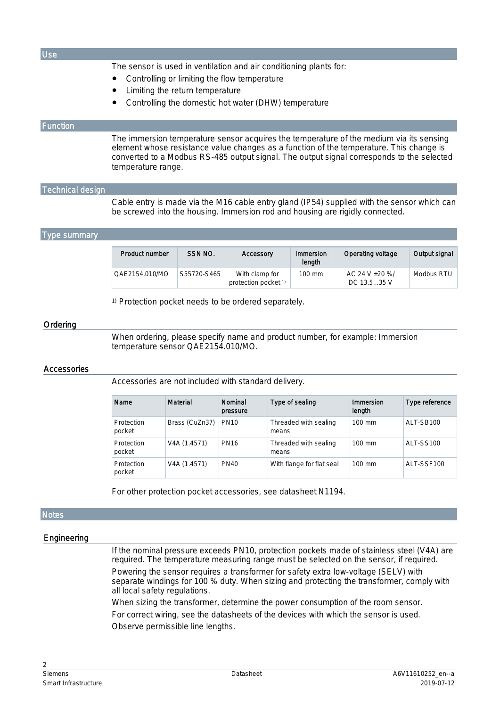| Use                            |                                                                                                                                                                                                                                                                                                       |                                                                                                                                                                                        |                                        |       |                           |                               |                |
|--------------------------------|-------------------------------------------------------------------------------------------------------------------------------------------------------------------------------------------------------------------------------------------------------------------------------------------------------|----------------------------------------------------------------------------------------------------------------------------------------------------------------------------------------|----------------------------------------|-------|---------------------------|-------------------------------|----------------|
|                                | The sensor is used in ventilation and air conditioning plants for:<br>Controlling or limiting the flow temperature<br>Limiting the return temperature<br>Controlling the domestic hot water (DHW) temperature                                                                                         |                                                                                                                                                                                        |                                        |       |                           |                               |                |
| <b>Function</b>                |                                                                                                                                                                                                                                                                                                       |                                                                                                                                                                                        |                                        |       |                           |                               |                |
|                                | The immersion temperature sensor acquires the temperature of the medium via its sensing<br>element whose resistance value changes as a function of the temperature. This change is<br>converted to a Modbus RS-485 output signal. The output signal corresponds to the selected<br>temperature range. |                                                                                                                                                                                        |                                        |       |                           |                               |                |
| <b>Technical design</b>        |                                                                                                                                                                                                                                                                                                       |                                                                                                                                                                                        |                                        |       |                           |                               |                |
|                                | Cable entry is made via the M16 cable entry gland (IP54) supplied with the sensor which can<br>be screwed into the housing. Immersion rod and housing are rigidly connected.                                                                                                                          |                                                                                                                                                                                        |                                        |       |                           |                               |                |
| <b>Type summary</b>            |                                                                                                                                                                                                                                                                                                       |                                                                                                                                                                                        |                                        |       |                           |                               |                |
|                                | <b>Product number</b>                                                                                                                                                                                                                                                                                 | SSN NO.                                                                                                                                                                                | Accessory                              |       | Immersion<br>length       | Operating voltage             | Output signal  |
|                                | QAE2154.010/MO                                                                                                                                                                                                                                                                                        | S55720-S465                                                                                                                                                                            | With clamp for<br>protection pocket 1) |       | 100 mm                    | AC 24 V ±20 %/<br>DC 13.535 V | Modbus RTU     |
| Ordering<br><b>Accessories</b> |                                                                                                                                                                                                                                                                                                       | <sup>1)</sup> Protection pocket needs to be ordered separately.<br>When ordering, please specify name and product number, for example: Immersion<br>temperature sensor QAE2154.010/MO. |                                        |       |                           |                               |                |
|                                | Accessories are not included with standard delivery.                                                                                                                                                                                                                                                  |                                                                                                                                                                                        |                                        |       |                           |                               |                |
|                                | Name                                                                                                                                                                                                                                                                                                  | Material                                                                                                                                                                               | Nominal<br>pressure                    |       | Type of sealing           | Immersion<br>length           | Type reference |
|                                | Protection<br>pocket                                                                                                                                                                                                                                                                                  | Brass (CuZn37)                                                                                                                                                                         | <b>PN10</b>                            | means | Threaded with sealing     | 100 mm                        | ALT-SB100      |
|                                | Protection<br>pocket                                                                                                                                                                                                                                                                                  | V4A (1.4571)                                                                                                                                                                           | <b>PN16</b>                            | means | Threaded with sealing     | 100 mm                        | ALT-SS100      |
|                                | Protection<br>pocket                                                                                                                                                                                                                                                                                  | V4A (1.4571)                                                                                                                                                                           | <b>PN40</b>                            |       | With flange for flat seal | 100 mm                        | ALT-SSF100     |
|                                | For other protection pocket accessories, see datasheet N1194.                                                                                                                                                                                                                                         |                                                                                                                                                                                        |                                        |       |                           |                               |                |
| <b>Notes</b>                   |                                                                                                                                                                                                                                                                                                       |                                                                                                                                                                                        |                                        |       |                           |                               |                |
| Engineering                    |                                                                                                                                                                                                                                                                                                       |                                                                                                                                                                                        |                                        |       |                           |                               |                |
|                                | If the nominal pressure exceeds PN10, protection pockets made of stainless steel (V4A) are<br>required. The temperature measuring range must be selected on the sensor, if required.                                                                                                                  |                                                                                                                                                                                        |                                        |       |                           |                               |                |

required. The temperature measuring range must be selected on the sensor, if required. Powering the sensor requires a transformer for safety extra low-voltage (SELV) with separate windings for 100 % duty. When sizing and protecting the transformer, comply with all local safety regulations.

When sizing the transformer, determine the power consumption of the room sensor. For correct wiring, see the datasheets of the devices with which the sensor is used. Observe permissible line lengths.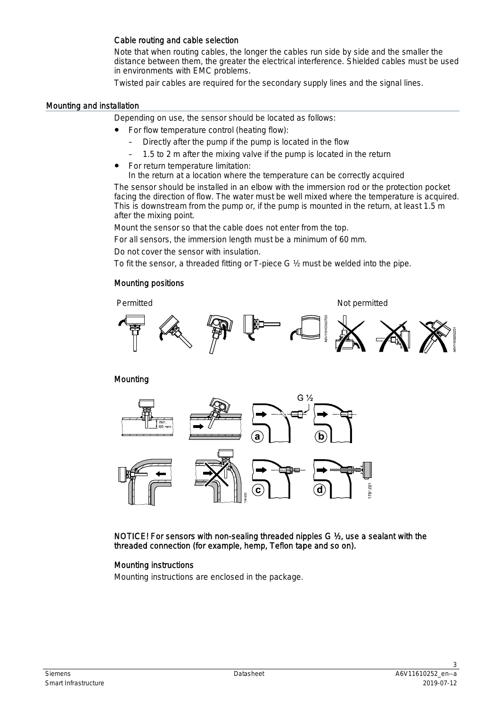### Cable routing and cable selection

Note that when routing cables, the longer the cables run side by side and the smaller the distance between them, the greater the electrical interference. Shielded cables must be used in environments with EMC problems.

Twisted pair cables are required for the secondary supply lines and the signal lines.

#### Mounting and installation

Depending on use, the sensor should be located as follows:

- For flow temperature control (heating flow):
	- Directly after the pump if the pump is located in the flow
	- 1.5 to 2 m after the mixing valve if the pump is located in the return
- For return temperature limitation:
	- In the return at a location where the temperature can be correctly acquired

The sensor should be installed in an elbow with the immersion rod or the protection pocket facing the direction of flow. The water must be well mixed where the temperature is acquired. This is downstream from the pump or, if the pump is mounted in the return, at least 1.5 m after the mixing point.

Mount the sensor so that the cable does not enter from the top.

For all sensors, the immersion length must be a minimum of 60 mm.

Do not cover the sensor with insulation.

To fit the sensor, a threaded fitting or T-piece G ½ must be welded into the pipe.

#### Mounting positions



Mounting



NOTICE! For sensors with non-sealing threaded nipples G ½, use a sealant with the threaded connection (for example, hemp, Teflon tape and so on).

## Mounting instructions

Mounting instructions are enclosed in the package.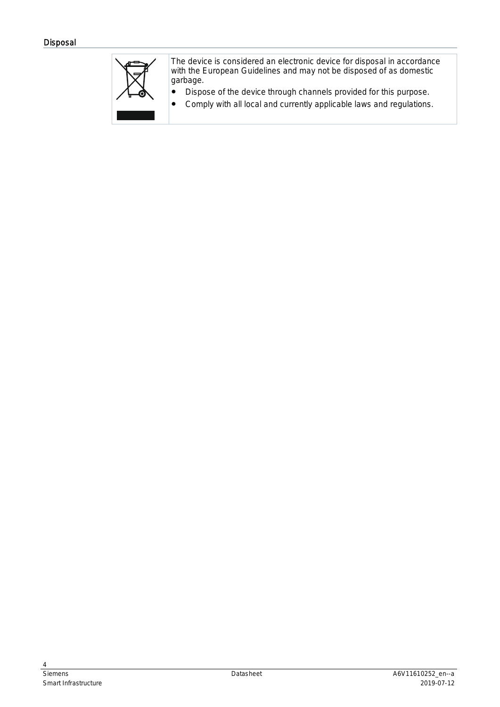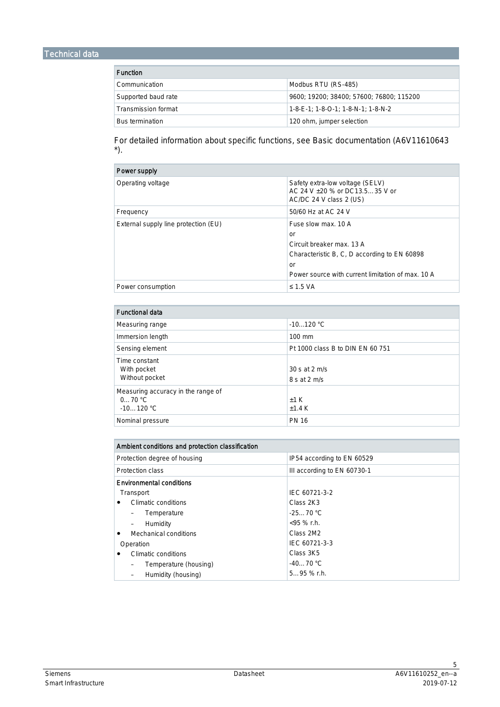| <b>Function</b>        |                                             |  |
|------------------------|---------------------------------------------|--|
| Communication          | Modbus RTU (RS-485)                         |  |
| Supported baud rate    | 9600: 19200: 38400: 57600: 76800: 115200    |  |
| Transmission format    | $1 - 8 - E - 1$ : 1-8-O-1: 1-8-N-1: 1-8-N-2 |  |
| <b>Bus termination</b> | 120 ohm, jumper selection                   |  |

For detailed information about specific functions, see Basic documentation (A6V11610643 \*).

| Power supply                         |                                                                                                                                                                   |
|--------------------------------------|-------------------------------------------------------------------------------------------------------------------------------------------------------------------|
| Operating voltage                    | Safety extra-low voltage (SELV)<br>AC 24 V +20 % or DC13.535 V or<br>AC/DC 24 V class 2 (US)                                                                      |
| Frequency                            | 50/60 Hz at AC 24 V                                                                                                                                               |
| External supply line protection (EU) | Fuse slow max, 10 A<br>or<br>Circuit breaker max. 13 A<br>Characteristic B, C, D according to EN 60898<br>or<br>Power source with current limitation of max. 10 A |
| Power consumption                    | $\leq$ 1.5 VA                                                                                                                                                     |

| <b>Functional data</b>                                      |                                  |
|-------------------------------------------------------------|----------------------------------|
| Measuring range                                             | $-10120 °C$                      |
| Immersion length                                            | $100 \text{ mm}$                 |
| Sensing element                                             | Pt 1000 class B to DIN EN 60 751 |
| Time constant<br>With pocket<br>Without pocket              | 30 s at 2 m/s<br>8 s at 2 m/s    |
| Measuring accuracy in the range of<br>070 °C<br>$-10120 °C$ | $+1$ K<br>±1.4K                  |
| Nominal pressure                                            | <b>PN 16</b>                     |

| Ambient conditions and protection classification |                             |  |  |
|--------------------------------------------------|-----------------------------|--|--|
| Protection degree of housing                     | IP54 according to EN 60529  |  |  |
| Protection class                                 | III according to EN 60730-1 |  |  |
| <b>Environmental conditions</b>                  |                             |  |  |
| Transport                                        | IEC 60721-3-2               |  |  |
| Climatic conditions                              | Class 2K3                   |  |  |
| Temperature                                      | $-2570 °C$                  |  |  |
| Humidity                                         | $<$ 95 % r.h.               |  |  |
| Mechanical conditions                            | Class 2M2                   |  |  |
| Operation                                        | IEC 60721-3-3               |  |  |
| Climatic conditions                              | Class 3K5                   |  |  |
| Temperature (housing)                            | $-4070 °C$                  |  |  |
| Humidity (housing)                               | $595%$ r.h.                 |  |  |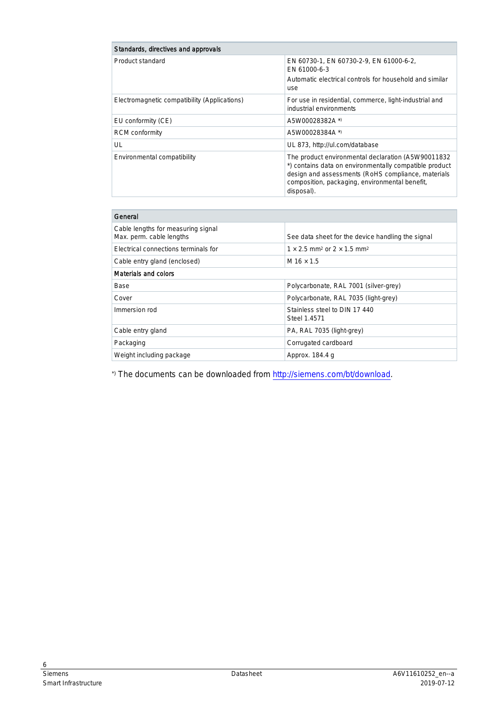| Standards, directives and approvals          |                                                                                                                                                                                                                                    |  |  |
|----------------------------------------------|------------------------------------------------------------------------------------------------------------------------------------------------------------------------------------------------------------------------------------|--|--|
| Product standard                             | EN 60730-1, EN 60730-2-9, EN 61000-6-2,<br>EN 61000-6-3<br>Automatic electrical controls for household and similar<br>use                                                                                                          |  |  |
| Electromagnetic compatibility (Applications) | For use in residential, commerce, light-industrial and<br>industrial environments                                                                                                                                                  |  |  |
| EU conformity (CE)                           | A5W00028382A *)                                                                                                                                                                                                                    |  |  |
| RCM conformity                               | A5W00028384A *)                                                                                                                                                                                                                    |  |  |
| UL                                           | UL 873, http://ul.com/database                                                                                                                                                                                                     |  |  |
| Environmental compatibility                  | The product environmental declaration (A5W90011832<br>*) contains data on environmentally compatible product<br>design and assessments (RoHS compliance, materials<br>composition, packaging, environmental benefit,<br>disposal). |  |  |

| General                                                        |                                                                  |  |  |
|----------------------------------------------------------------|------------------------------------------------------------------|--|--|
| Cable lengths for measuring signal<br>Max. perm. cable lengths | See data sheet for the device handling the signal                |  |  |
| Electrical connections terminals for                           | $1 \times 2.5$ mm <sup>2</sup> or $2 \times 1.5$ mm <sup>2</sup> |  |  |
| Cable entry gland (enclosed)                                   | M $16 \times 1.5$                                                |  |  |
| Materials and colors                                           |                                                                  |  |  |
| Base                                                           | Polycarbonate, RAL 7001 (silver-grey)                            |  |  |
| Cover                                                          | Polycarbonate, RAL 7035 (light-grey)                             |  |  |
| Immersion rod                                                  | Stainless steel to DIN 17 440<br>Steel 1.4571                    |  |  |
| Cable entry gland                                              | PA, RAL 7035 (light-grey)                                        |  |  |
| Packaging                                                      | Corrugated cardboard                                             |  |  |
| Weight including package                                       | Approx. 184.4 q                                                  |  |  |

\*) The documents can be downloaded from <http://siemens.com/bt/download>.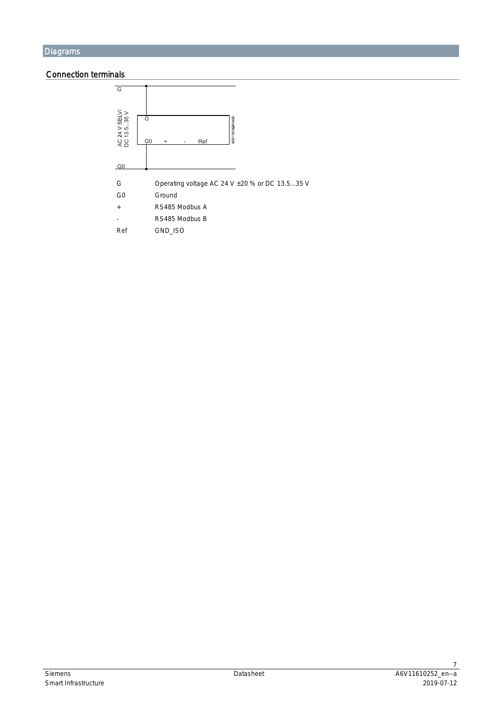## Connection terminals